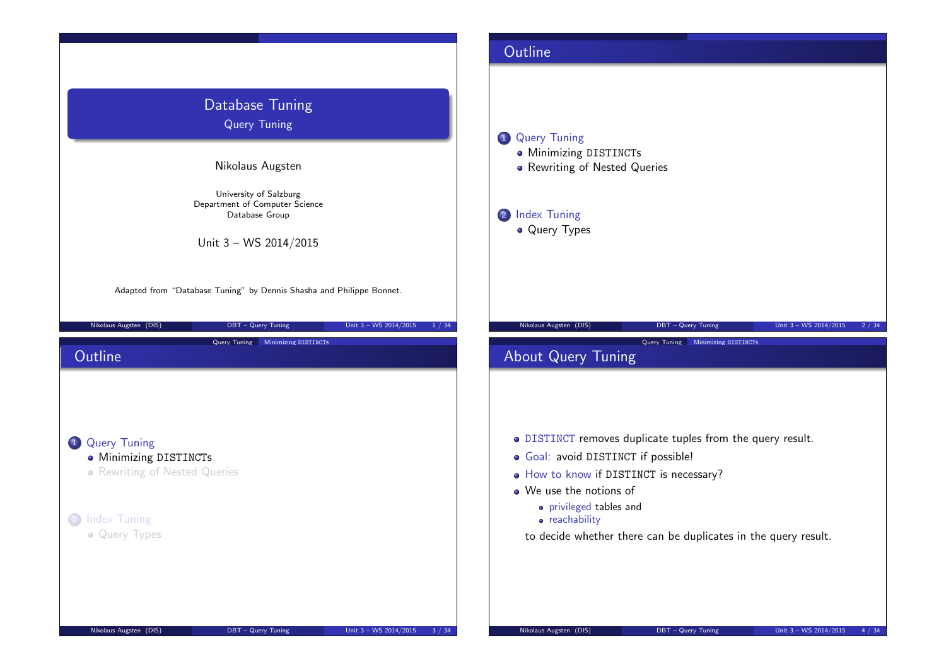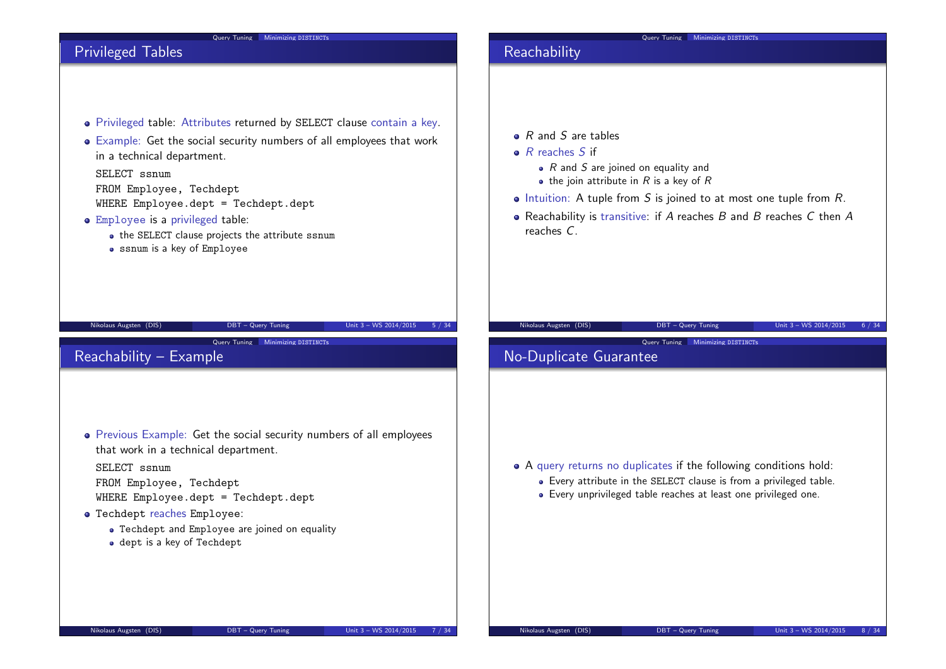## Query Tuning Minimizing DISTINCTs Privileged Tables Privileged table: Attributes returned by SELECT clause contain a key. Example: Get the social security numbers of all employees that work in a technical department. SELECT ssnum FROM Employee, Techdept WHERE Employee.dept = Techdept.dept Employee is a privileged table: • the SELECT clause projects the attribute ssnum ssnum is a key of Employee Nikolaus Augsten (DIS) DBT – Query Tuning Unit 3 – WS 2014/2015 5 / 34 Query Tuning Minimizing DISTINCT Reachability  $\bullet$  R and S are tables  $\bullet$  R reaches S if  $\bullet$  R and S are joined on equality and  $\bullet$  the join attribute in R is a key of R  $\bullet$  Intuition: A tuple from S is joined to at most one tuple from R. • Reachability is transitive: if  $A$  reaches  $B$  and  $B$  reaches  $C$  then  $A$ reaches C. Nikolaus Augsten (DIS) DBT – Query Tuning Unit 3 – WS 2014/2015 6 / 34 Query Tuning Minimizing DISTINCTs Reachability – Example Previous Example: Get the social security numbers of all employees that work in a technical department. SELECT ssnum FROM Employee, Techdept WHERE Employee.dept = Techdept.dept Techdept reaches Employee: • Techdept and Employee are joined on equality dept is a key of Techdept Query Tuning Minimizing DISTINCTs No-Duplicate Guarantee A query returns no duplicates if the following conditions hold: Every attribute in the SELECT clause is from a privileged table. Every unprivileged table reaches at least one privileged one.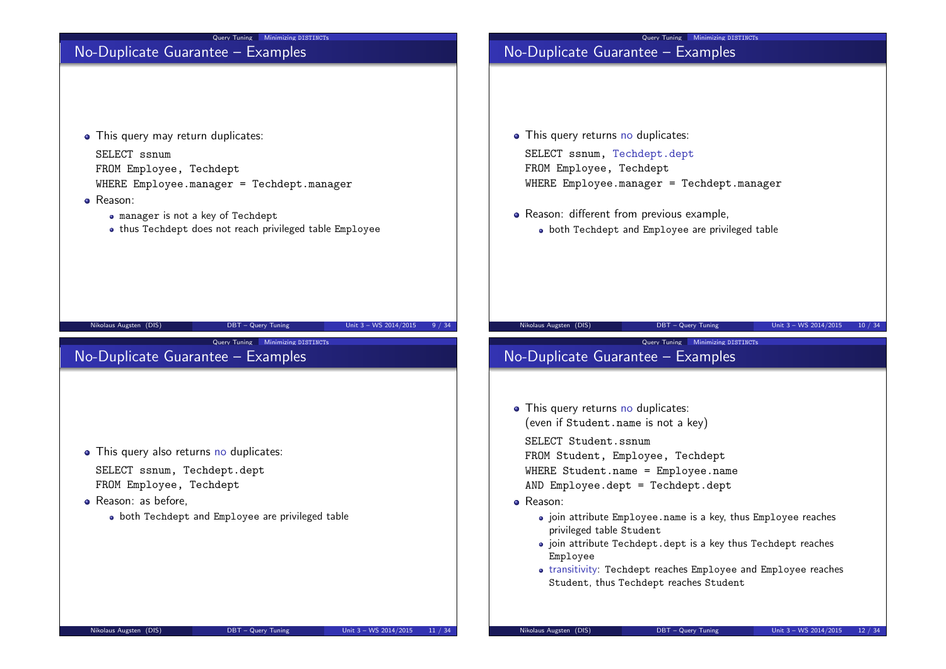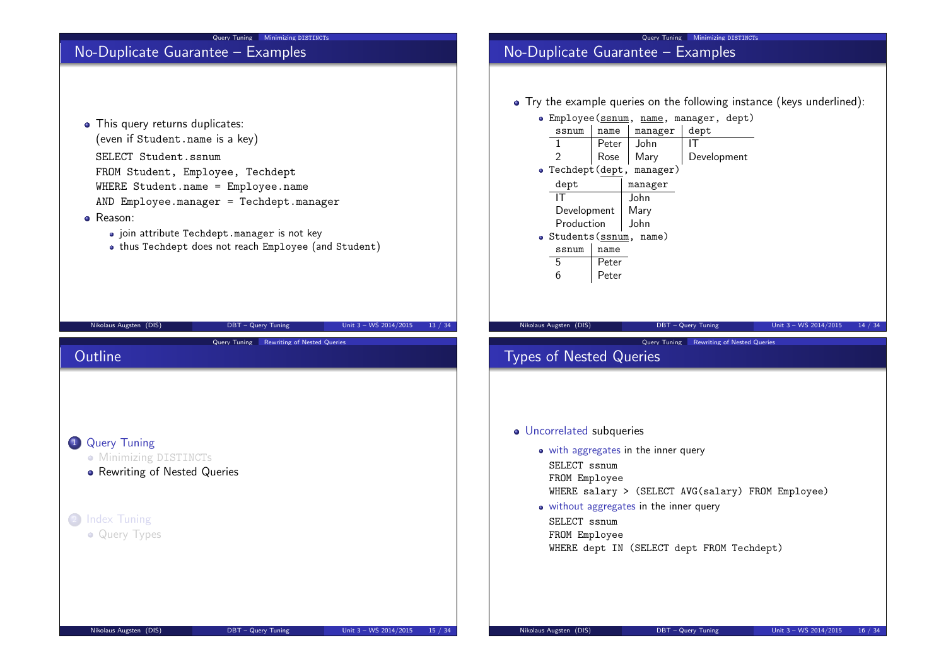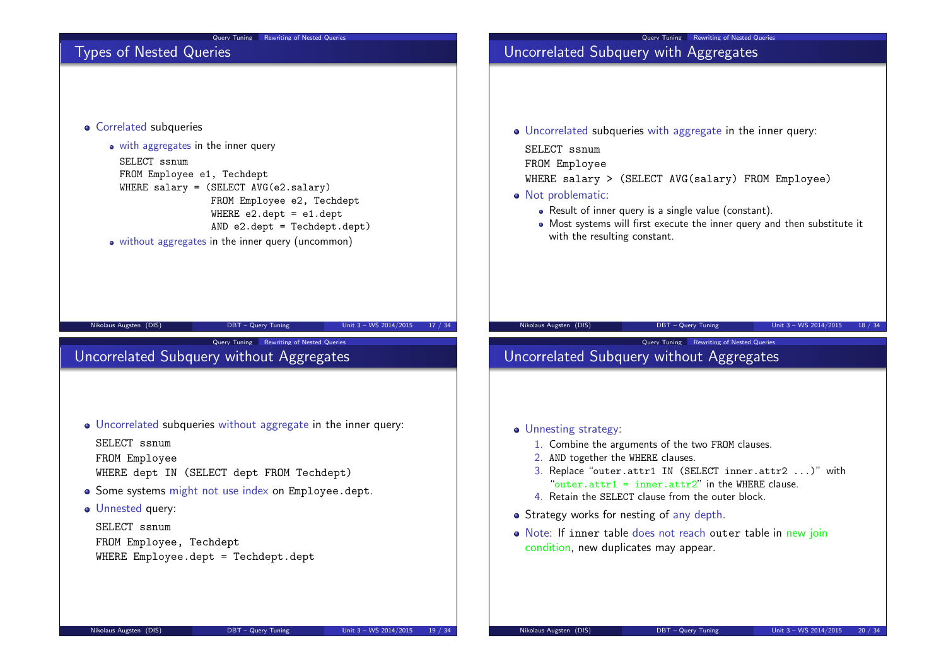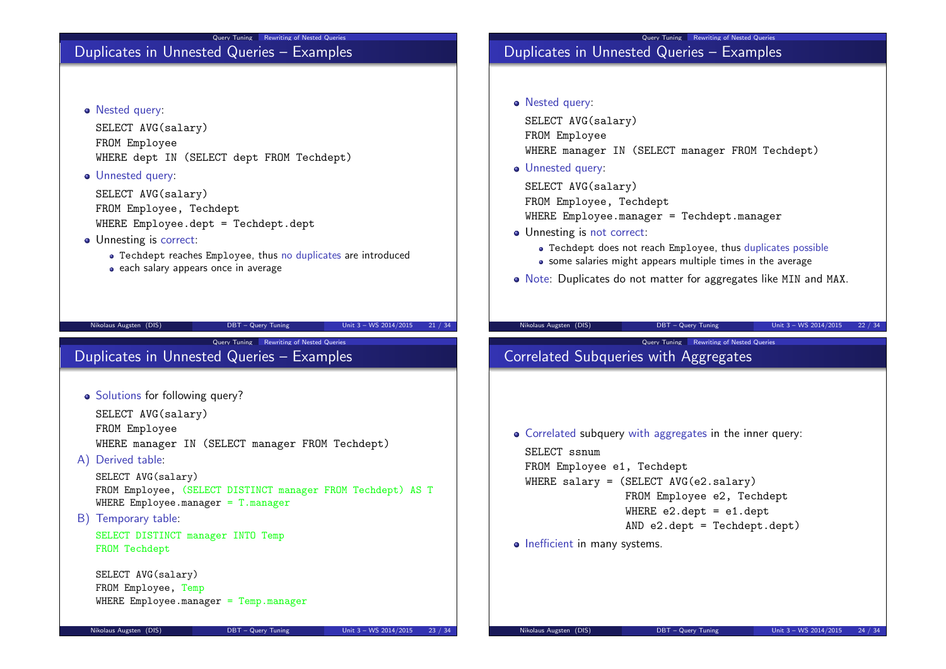## Duplicates in Unnested Queries – Examples

### • Nested query:

SELECT AVG(salary) FROM Employee WHERE dept IN (SELECT dept FROM Techdept)

Unnested query:

SELECT AVG(salary) FROM Employee, Techdept WHERE Employee.dept = Techdept.dept

## • Unnesting is correct:

Techdept reaches Employee, thus no duplicates are introduced

Query Tuning Rewriting of Nested Queries

• each salary appears once in average

#### Nikolaus Augsten (DIS) DBT – Query Tuning Unit 3 – WS 2014/2015 21 / 34

Query Tuning Rewriting of Nested Queries

## Duplicates in Unnested Queries – Examples

• Solutions for following query? SELECT AVG(salary)

FROM Employee

WHERE manager IN (SELECT manager FROM Techdept)

A) Derived table:

SELECT AVG(salary) FROM Employee, (SELECT DISTINCT manager FROM Techdept) AS T WHERE Employee.manager =  $T$ .manager

B) Temporary table:

SELECT DISTINCT manager INTO Temp FROM Techdept

SELECT AVG(salary) FROM Employee, Temp WHERE Employee.manager = Temp.manager

# Duplicates in Unnested Queries – Examples

• Nested query:

SELECT AVG(salary) FROM Employee WHERE manager IN (SELECT manager FROM Techdept)

Unnested query:

SELECT AVG(salary) FROM Employee, Techdept WHERE Employee.manager = Techdept.manager

- Unnesting is not correct:
	- Techdept does not reach Employee, thus duplicates possible
	- some salaries might appears multiple times in the average
- Note: Duplicates do not matter for aggregates like MIN and MAX.

Query Tuning Rewriting of Nested Queries

#### Nikolaus Augsten (DIS) DBT – Query Tuning Unit 3 – WS 2014/2015 22 / 34

Correlated Subqueries with Aggregates

## Correlated subquery with aggregates in the inner query:

SELECT ssnum

FROM Employee e1, Techdept

WHERE salary =  $(SELECT AVG(e2.salary))$ FROM Employee e2, Techdept WHERE  $e2.dept = e1.dept$ 

AND e2.dept = Techdept.dept)

• Inefficient in many systems.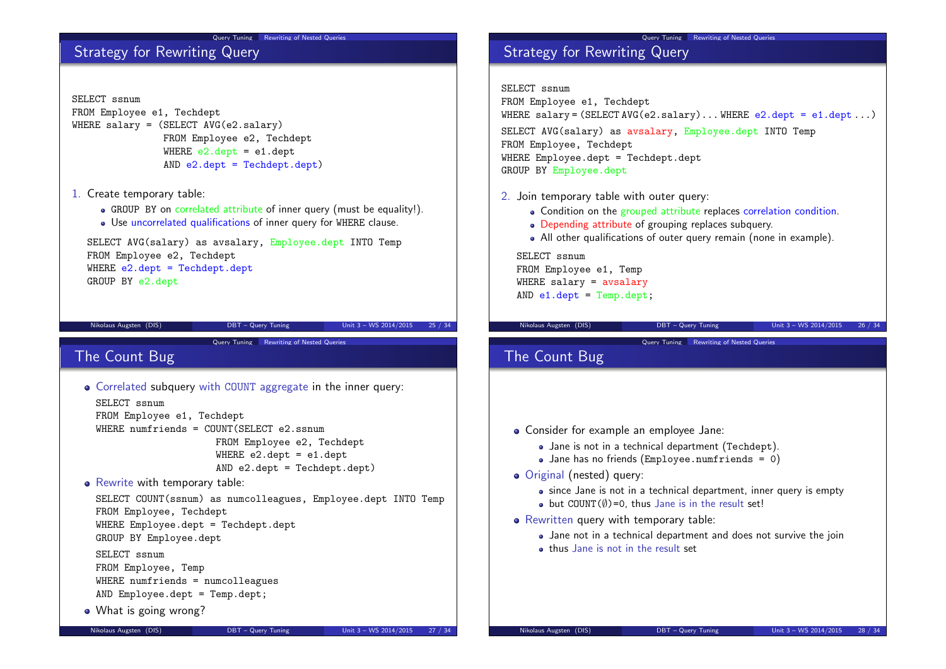#### Query Tuning Rewriting of Nested Queries

## Strategy for Rewriting Query

```
SELECT ssnum
FROM Employee e1, Techdept
WHERE salary = (SELECT AVG(e2.salary)
                 FROM Employee e2, Techdept
                 WHERE e2.dept = e1.deptAND e2.dept = Techdept.dept)
1. Create temporary table:
     GROUP BY on correlated attribute of inner query (must be equality!).
     Use uncorrelated qualifications of inner query for WHERE clause.
   SELECT AVG(salary) as avsalary, Employee.dept INTO Temp
   FROM Employee e2, Techdept
   WHERE e2.dept = Techdepth.deptGROUP BY e2.dept
   Nikolaus Augsten (DIS) DBT – Query Tuning Unit 3 – WS 2014/2015 25 / 34
                                                                                   SELECT ssnum
                                                                                   FROM Employee e1, Techdept
                                                                                   WHERE salary = (SELECT AVG (e2.salary) \dots WHERE e2.dept = e1.dept \dots)SELECT AVG(salary) as avsalary, Employee.dept INTO Temp
                                                                                   FROM Employee, Techdept
                                                                                   WHERE Employee.dept = Techdept.dept
                                                                                   GROUP BY Employee.dept
                                                                                   2. Join temporary table with outer query:
                                                                                         Condition on the grouped attribute replaces correlation condition.
                                                                                         • Depending attribute of grouping replaces subquery.
                                                                                         All other qualifications of outer query remain (none in example).
                                                                                      SELECT ssnum
                                                                                      FROM Employee e1, Temp
                                                                                      WHERE salary = avsalary
                                                                                      AND e1.dept = Temp.dept;Nikolaus Augsten (DIS) DBT – Query Tuning Unit 3 – WS 2014/2015 26 / 34
                           Query Tuning Rewriting of Nested Queries
The Count Bug
  Correlated subquery with COUNT aggregate in the inner query:
    SELECT ssnum
    FROM Employee e1, Techdept
     WHERE numfriends = COUNT(SELECT e2.ssnum
                           FROM Employee e2, Techdept
                            WHERE e2.dept = e1.deptAND e2.dept = Techdept.dept)
  • Rewrite with temporary table:
    SELECT COUNT(ssnum) as numcolleagues, Employee.dept INTO Temp
    FROM Employee, Techdept
    WHERE Employee.dept = Techdept.dept
    GROUP BY Employee.dept
    SELECT ssnum
    FROM Employee, Temp
    WHERE numfriends = numcolleagues
    AND Employee.dept = Temp.dept;
   • What is going wrong?
   Nikolaus Augsten (DIS) DBT – Query Tuning Unit 3 – WS 2014/2015 27 / 34
                                                                                                               Query Tuning Rewriting of Nested Queries
                                                                                    The Count Bug
                                                                                      Consider for example an employee Jane:
                                                                                           Jane is not in a technical department (Techdept).
                                                                                          Jane has no friends (Employee.numfriends = 0)
                                                                                      Original (nested) query:
                                                                                           • since Jane is not in a technical department, inner query is empty
                                                                                          \bullet but COUNT(\emptyset)=0, thus Jane is in the result set!
                                                                                      • Rewritten query with temporary table:
                                                                                          Jane not in a technical department and does not survive the join
                                                                                           • thus Jane is not in the result set
                                                                                       Nikolaus Augsten (DIS) DBT – Query Tuning Unit 3 – WS 2014/2015 28 / 34
```
Query Tuning Rewriting of Nested Querie

Strategy for Rewriting Query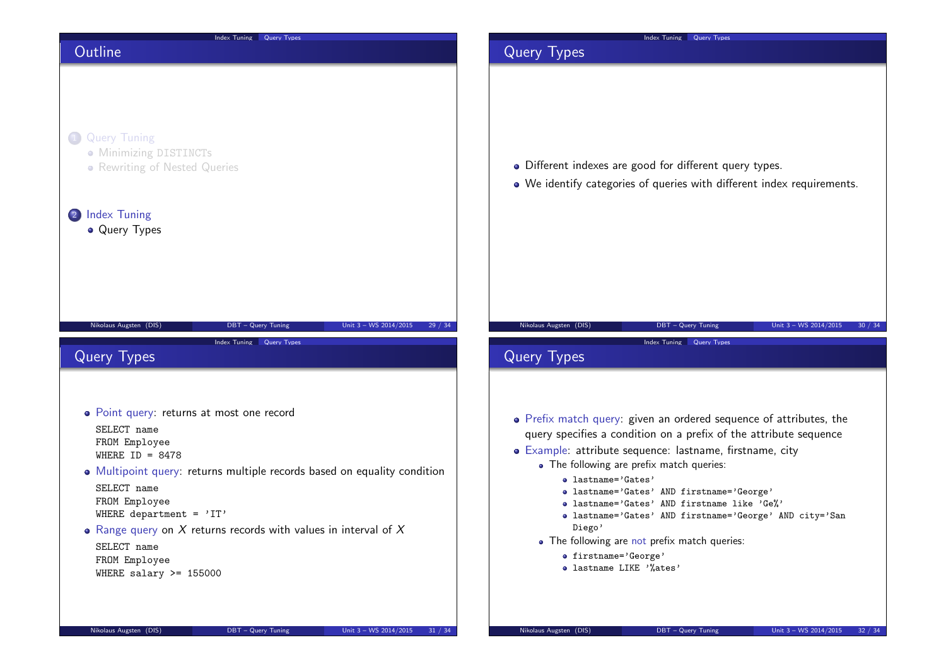